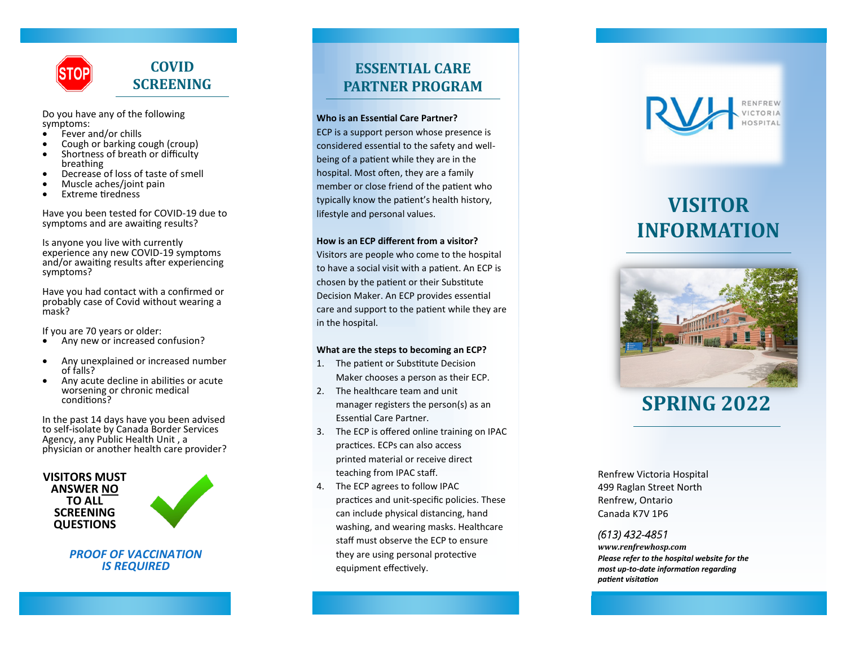

Do you have any of the following symptoms:<br>• Fever a

- Fever and/or chills
- Cough or barking cough (croup)
- Shortness of breath or difficulty breathing
- Decrease of loss of taste of smell
- Muscle aches/joint pain
- Extreme tiredness

Have you been tested for COVID-19 due to symptoms and are awaiting results?

Is anyone you live with currently experience any new COVID-19 symptoms and/or awaiting results after experiencing symptoms?

Have you had contact with a confirmed or probably case of Covid without wearing a mask?

If you are 70 years or older:

- Any new or increased confusion?
- Any unexplained or increased number of falls?
- Any acute decline in abilities or acute worsening or chronic medical conditions?

In the past 14 days have you been advised to self-isolate by Canada Border Services Agency, any Public Health Unit , a physician or another health care provider?

#### **VISITORS MUST ANSWER NO TO ALL SCREENING QUESTIONS**



*PROOF OF VACCINATION IS REQUIRED* 

### **ESSENTIAL CARE PARTNER PROGRAM**

#### **Who is an Essential Care Partner?**

ECP is a support person whose presence is considered essential to the safety and wellbeing of a patient while they are in the hospital. Most often, they are a family member or close friend of the patient who typically know the patient's health history, lifestyle and personal values.

#### **How is an ECP different from a visitor?**

Visitors are people who come to the hospital to have a social visit with a patient. An ECP is chosen by the patient or their Substitute Decision Maker. An ECP provides essential care and support to the patient while they are in the hospital.

#### **What are the steps to becoming an ECP?**

- 1. The patient or Substitute Decision Maker chooses a person as their ECP.
- 2. The healthcare team and unit manager registers the person(s) as an Essential Care Partner.
- 3. The ECP is offered online training on IPAC practices. ECPs can also access printed material or receive direct teaching from IPAC staff.
- 4. The ECP agrees to follow IPAC practices and unit-specific policies. These can include physical distancing, hand washing, and wearing masks. Healthcare staff must observe the ECP to ensure they are using personal protective equipment effectively.



# **VISITOR INFORMATION**



## **SPRING 2022**

Renfrew Victoria Hospital 499 Raglan Street North Renfrew, Ontario Canada K7V 1P6

#### *(613) 432-4851*

*www.renfrewhosp.com Please refer to the hospital website for the most up-to-date information regarding patient visitation*